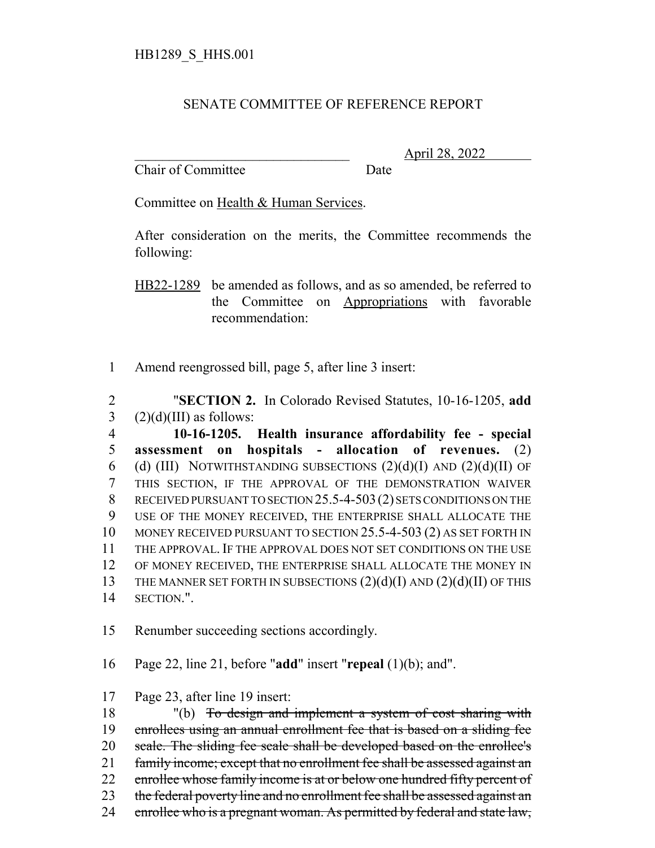## SENATE COMMITTEE OF REFERENCE REPORT

Chair of Committee Date

\_\_\_\_\_\_\_\_\_\_\_\_\_\_\_\_\_\_\_\_\_\_\_\_\_\_\_\_\_\_\_ April 28, 2022

Committee on Health & Human Services.

After consideration on the merits, the Committee recommends the following:

HB22-1289 be amended as follows, and as so amended, be referred to the Committee on Appropriations with favorable recommendation:

1 Amend reengrossed bill, page 5, after line 3 insert:

2 "**SECTION 2.** In Colorado Revised Statutes, 10-16-1205, **add** 3  $(2)(d)(III)$  as follows:

 **10-16-1205. Health insurance affordability fee - special assessment on hospitals - allocation of revenues.** (2) 6 (d) (III) NOTWITHSTANDING SUBSECTIONS  $(2)(d)(I)$  AND  $(2)(d)(II)$  OF THIS SECTION, IF THE APPROVAL OF THE DEMONSTRATION WAIVER RECEIVED PURSUANT TO SECTION 25.5-4-503(2) SETS CONDITIONS ON THE USE OF THE MONEY RECEIVED, THE ENTERPRISE SHALL ALLOCATE THE MONEY RECEIVED PURSUANT TO SECTION 25.5-4-503 (2) AS SET FORTH IN THE APPROVAL. IF THE APPROVAL DOES NOT SET CONDITIONS ON THE USE OF MONEY RECEIVED, THE ENTERPRISE SHALL ALLOCATE THE MONEY IN 13 THE MANNER SET FORTH IN SUBSECTIONS  $(2)(d)(I)$  AND  $(2)(d)(II)$  OF THIS SECTION.".

15 Renumber succeeding sections accordingly.

16 Page 22, line 21, before "**add**" insert "**repeal** (1)(b); and".

17 Page 23, after line 19 insert:

18 "(b) To design and implement a system of cost sharing with 19 enrollees using an annual enrollment fee that is based on a sliding fee 20 scale. The sliding fee scale shall be developed based on the enrollee's 21 family income; except that no enrollment fee shall be assessed against an 22 enrollee whose family income is at or below one hundred fifty percent of 23 the federal poverty line and no enrollment fee shall be assessed against an 24 enrollee who is a pregnant woman. As permitted by federal and state law,